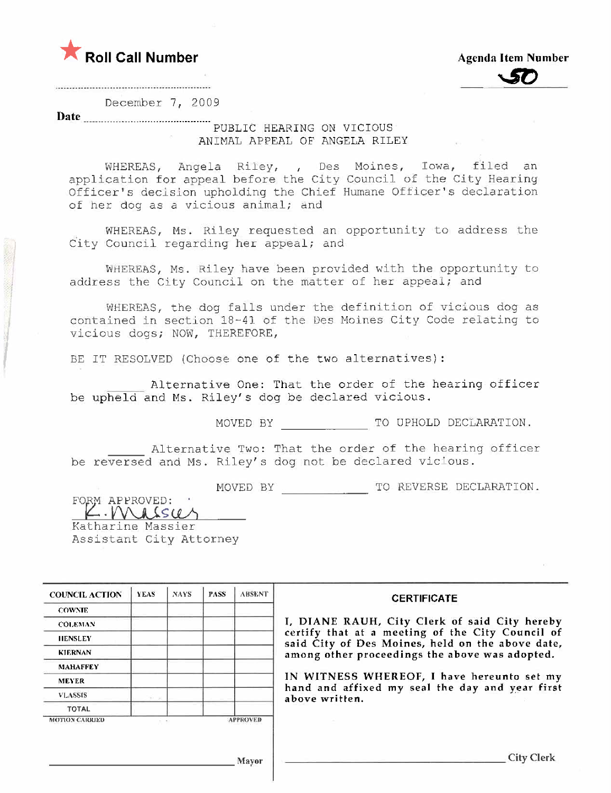



December 7, 2009

Date <u>\_\_\_\_\_\_\_\_\_\_\_\_\_\_\_\_\_\_\_\_\_\_\_\_\_\_\_\_\_\_\_\_\_\_\_</u>

,

I

### PUBLIC HEARING ON VICIOUS ANIMAL APPEAL OF ANGELA RILEY

WHEREAS, Angela Riley, Des Moines, Iowa, filed an application for appeal before the City Council of the City Hearing Officer's decision upholding the Chief Humane Officer's declaration of her dog as a vicious animal; and

WHEREAS, Ms. Riley requested an opportunity to address the City Council regarding her appeal; and

WHEREAS, Ms. Riley have been provided with the opportunity to address the City Council on the matter of her appeal; and

WHEREAS, the dog falls under the definition of vicious dog as contained in section 18-41 of the Des Moines City Code relating to vicious dogs; NOW, THEREFORE,

BE IT RESOLVED (Choose one of the two alternatives):

Alternative One: That the order of the hearing officer be upheld and Ms. Riley's dog be declared vicious.

MOVED BY TO UPHOLD DECLARATION.

Alternative Two: That the order of the hearing officer be reversed and Ms. Riley's dog not be declared vicious.<br>"WOVED BY TO REVERSE DECLARATION.<br>FORM APPROVED:

K. Mulsu Assistant City Attorney

| <b>COUNCIL ACTION</b> | <b>YEAS</b> | <b>NAYS</b> | <b>PASS</b>     | <b>ABSENT</b> |
|-----------------------|-------------|-------------|-----------------|---------------|
| <b>COWNIE</b>         |             |             |                 |               |
| <b>COLEMAN</b>        |             |             |                 |               |
| <b>HENSLEY</b>        |             |             |                 |               |
| <b>KIERNAN</b>        |             |             |                 |               |
| <b>MAHAFFEY</b>       |             |             |                 |               |
| <b>MEYER</b>          |             |             |                 |               |
| <b>VLASSIS</b>        |             |             |                 |               |
| <b>TOTAL</b>          |             |             |                 |               |
| <b>MOTION CARRIED</b> |             |             | <b>APPROVED</b> |               |

### CERTIFICATE

I, DIANE RAUH, City Clerk of said City hereby certify that at a meeting of the City Council of said City of Des Moines, held on the above date, among other proceedings the above was adopted.

IN WITNESS WHEREOF, I have hereunto set my hand and affixed my seal the day and year first above written.

J\1a)'OF City Clerk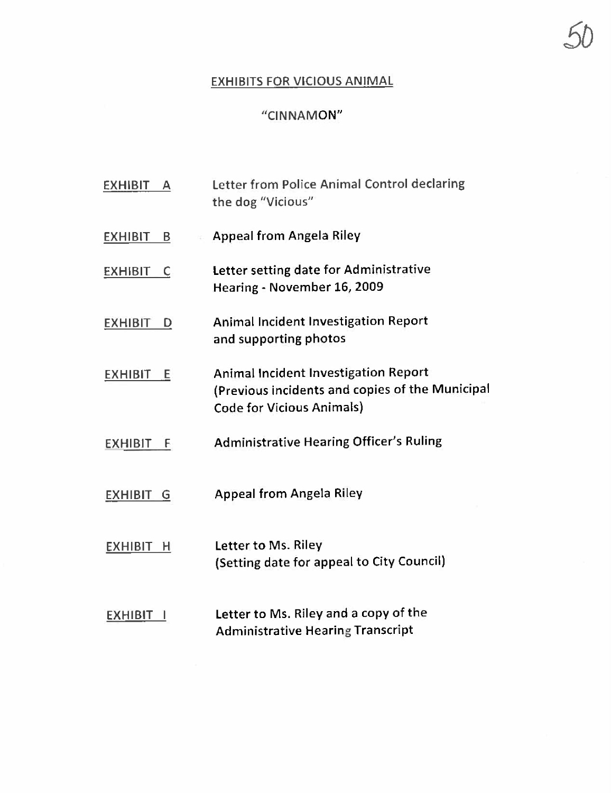# EXHIBITS FOR VICIOUS ANIMAL

.5D

# "CINNAMON"

| EXHIBIT<br>A        | Letter from Police Animal Control declaring<br>the dog "Vicious"                                                                   |
|---------------------|------------------------------------------------------------------------------------------------------------------------------------|
| <b>EXHIBIT</b><br>В | <b>Appeal from Angela Riley</b>                                                                                                    |
| <b>EXHIBIT</b><br>C | Letter setting date for Administrative<br>Hearing - November 16, 2009                                                              |
| <b>EXHIBIT</b><br>D | <b>Animal Incident Investigation Report</b><br>and supporting photos                                                               |
| <b>EXHIBIT</b><br>Е | <b>Animal Incident Investigation Report</b><br>(Previous incidents and copies of the Municipal<br><b>Code for Vicious Animals)</b> |
| <b>EXHIBIT</b><br>E | <b>Administrative Hearing Officer's Ruling</b>                                                                                     |
| EXHIBIT G           | <b>Appeal from Angela Riley</b>                                                                                                    |
| EXHIBIT H           | Letter to Ms. Riley<br>(Setting date for appeal to City Council)                                                                   |
| <b>EXHIBIT</b>      | Letter to Ms. Riley and a copy of the<br><b>Administrative Hearing Transcript</b>                                                  |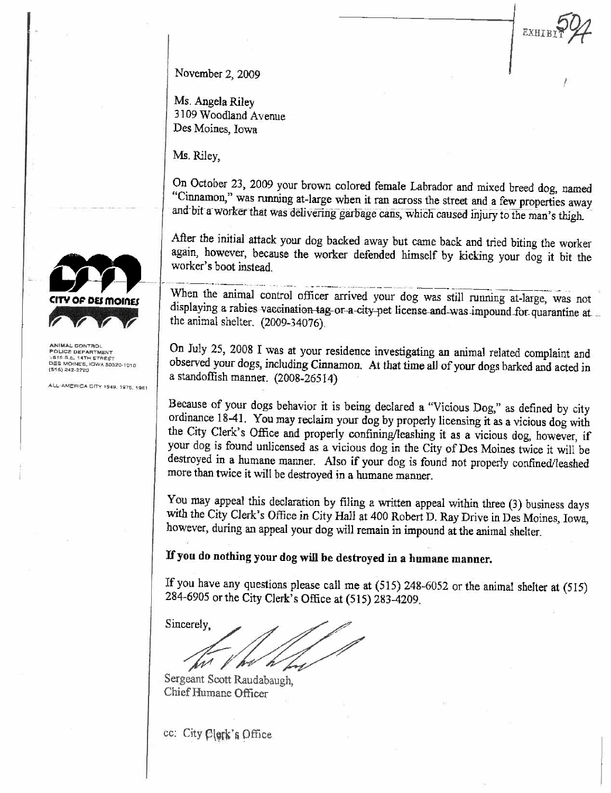EXHIB

November 2, 2009

Ms. Angela Riley 3109 Woodland Avenue Des Moines, Iowa

Ms. Riley,

On October 23, 2009 your brown colored female Labrador and mixed breed dog, named "Cinnamon," was running at-large when it ran across the street and a few properties away and bit a worker that was delivering garbage cans, which caused injury to the man's thigh.

After the initial attack your dog backed away but came back and tried biting the worker again, however, because the worker defended himself by kicking your dog it bit the worker's boot instead.

When the animal control officer arrived your dog was still running at-large, was not displaying a rabies vaccination tag or a city pet license and was impound for quarantine at the animal shelter. (2009-34076).

On July 25, 2008 I was at your residence investigating an animal related complaint and observed your dogs, including Cinnamon. At that time all of your dogs barked and acted in a standoffish manner. (2008-26514)

Because of your dogs behavior it is being declared a "Vicious Dog," as defined by city ordinance 18-41. You may reclaim your dog by properly licensing it as a vicious dog with the City Clerk's Office and properly confining/leashing it as a vicious dog, however, if your dog is found unlicensed as a vicious dog in the City of Des Moines twice it will be destroyed in a humane manner. Also if your dog is found not properly confined/leashed more than twice it will be destroyed in a humane manner.

You may appeal this declaration by filing a written appeal within three (3) business days with the City Clerk's Office in City Hall at 400 Robert D. Ray Drive in Des Moines, Iowa, however, during an appeal your dog will remain in impound at the animal shelter.

# If you do nothing your dog will be destroyed in a humane manner.

If you have any questions please call me at (515) 248-6052 or the animal shelter at (515) 284-6905 or the City Clerk's Office at (515) 283-4209.

Sincerely.

Sergeant Scott Raudabaugh. Chief Humane Officer

cc: City Clerk's Office



ANIMAL CONTROL POLICE DEPARTMENT DES MOINES, IOWA 50320-1010 (515) 242-2720

ALL-AMERICA CITY 1948, 1975, 1981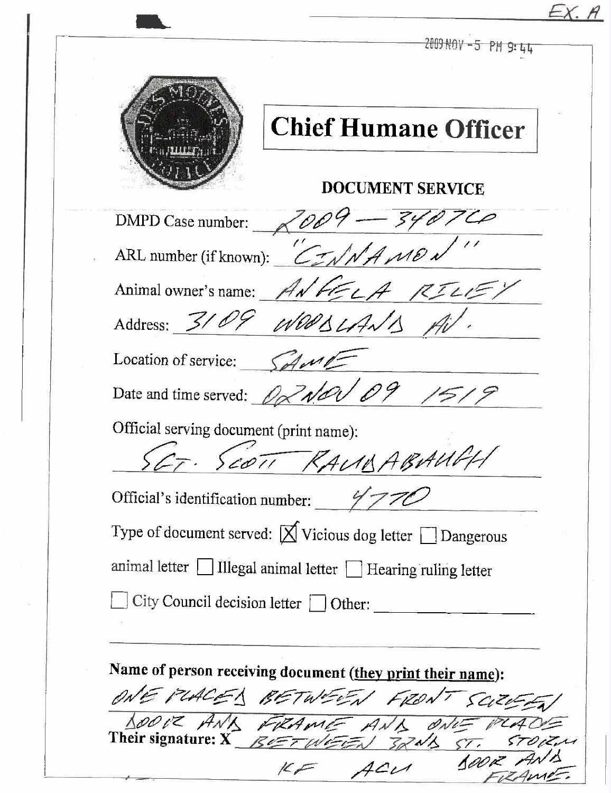| <b>DOCUMENT SERVICE</b><br>$2009 - 3401$<br>IBABAUGH<br>T. SCOTT KAUM<br>ONE PLACES BETWEEN FRONT SCIENT |                                                                          |
|----------------------------------------------------------------------------------------------------------|--------------------------------------------------------------------------|
|                                                                                                          | <b>Chief Humane Officer</b>                                              |
|                                                                                                          |                                                                          |
|                                                                                                          | DMPD Case number:                                                        |
|                                                                                                          | ARL number (if known):                                                   |
|                                                                                                          | Animal owner's name: ANGELA RILLE,                                       |
|                                                                                                          | Address: 3104 WOODLAND                                                   |
|                                                                                                          | Location of service:                                                     |
|                                                                                                          | Date and time served: $\mathscr{D} \times$                               |
|                                                                                                          | Official serving document (print name):                                  |
|                                                                                                          | Official's identification number: $\frac{2}{7}$                          |
|                                                                                                          | Type of document served: $\boxtimes$ Vicious dog letter $\Box$ Dangerous |
|                                                                                                          | animal letter Illegal animal letter I Hearing ruling letter              |
|                                                                                                          | City Council decision letter $\Box$ Other:                               |
|                                                                                                          | Name of person receiving document (they print their name):               |
|                                                                                                          | SCIZIER                                                                  |
| 100K<br>$KF$ $ACu$                                                                                       |                                                                          |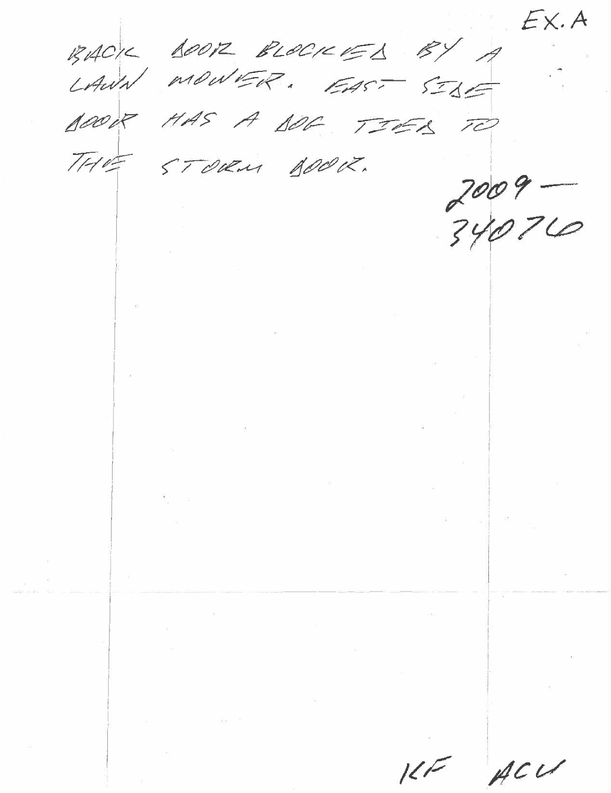$EX.A$ RACK BOOR RLOCKED BY A BOOK HAS A BOG TIER TO THE STORM BOOK.  $2009 -$ 34076  $\mathbf{g}_{\mathcal{G}}$  .  $\mathcal{L}^{\text{max}}$  , where  $\mathcal{L}^{\text{max}}$  $\label{eq:3.1} \left\| \mathcal{C} \right\|_{\mathcal{C}} = \frac{1}{\sqrt{2\pi}} \sum_{i=1}^N \left\| \mathcal{C} \right\|_{\mathcal{C}}$  $\mathbf{H}^{\text{max}}$  and  $\mathbf{H}^{\text{max}}$  $\mathcal{E} = \mathcal{E}$  $\label{eq:1.1} \frac{\partial}{\partial t} \partial_{t} \phi_{\alpha} = \frac{\partial}{\partial t} \partial_{t} \phi_{\alpha}$  $\label{eq:1} \mathbf{v} = \mathbf{v} + \mathbf{v} + \mathbf{v}$  $\overline{\alpha}$  . The state  $\overline{\alpha}$  $\begin{array}{lll} \mathbb{I} & \mathbb{R} & \mathbb{R} \\ \mathbb{I} & \mathbb{R} & \mathbb{R} \end{array}$  $\label{eq:3.1} \begin{array}{cccccc} \beta & \cdots & \cdots & \beta & \cdots & \cdots & \cdots \\ \end{array}$  $\label{eq:3.1} \frac{1}{\left\| \begin{array}{cc} 1 & \cdots & 1 \\ \vdots & \ddots & \vdots \\ 1 & \cdots & 1 \end{array} \right\|}$  $\label{eq:2.1} \begin{array}{c} \mathbb{R}^2 \end{array}$  where  $\mathbb{R}^2$  $\label{eq:2.1} \langle \mathcal{A}^{\mu} \rangle_{\mu}$  $\sim$   $2$  $\frac{1}{\left\| \mathbf{r} \right\|} = \frac{1}{\left\| \mathbf{r} \right\|} = \frac{1}{\left\| \mathbf{r} \right\|} = \frac{1}{\left\| \mathbf{r} \right\|} = \frac{1}{\left\| \mathbf{r} \right\|} = \frac{1}{\left\| \mathbf{r} \right\|} = \frac{1}{\left\| \mathbf{r} \right\|} = \frac{1}{\left\| \mathbf{r} \right\|} = \frac{1}{\left\| \mathbf{r} \right\|} = \frac{1}{\left\| \mathbf{r} \right\|} = \frac{1}{\left\| \$  $phant E$   $\overline{ACU}$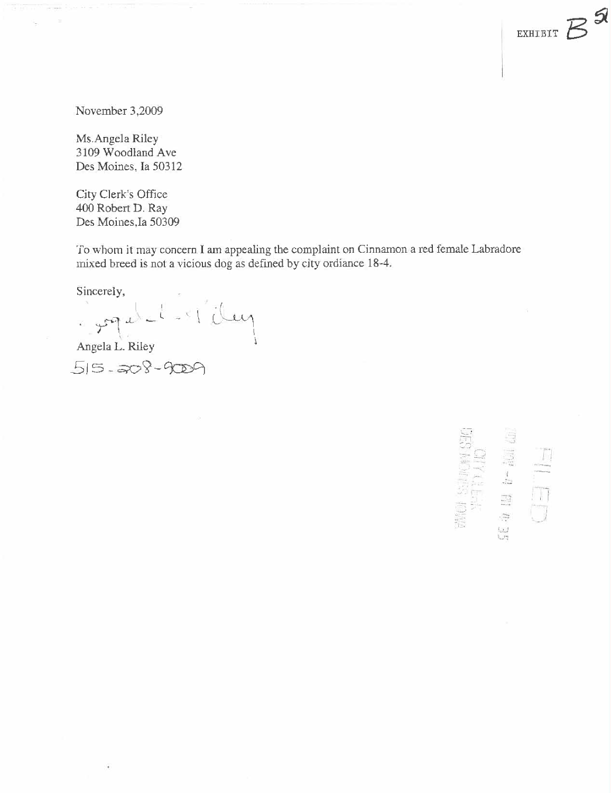November 3,2009

Ms.Angela Riley 3109 Woodland Ave Des Moines, Ia 50312

City Clerk's Office 400 Robert D. Ray Des Moines, Ia 50309

To whom it may concern I am appealing the complaint on Cinnamon a red female Labradore mixed breed is not a vicious dog as defined by city ordiance 18-4.

Sincerely,

 $\frac{1}{\text{Angle}}$  $\overline{\mathcal{M}}$ 

 $515 - 208 - 9009$ 

**WAS SURVEY STATE**  $554 \times 10$  b  $104 \times 10$ 

 $\mathcal{A}$ 

EXHIBIT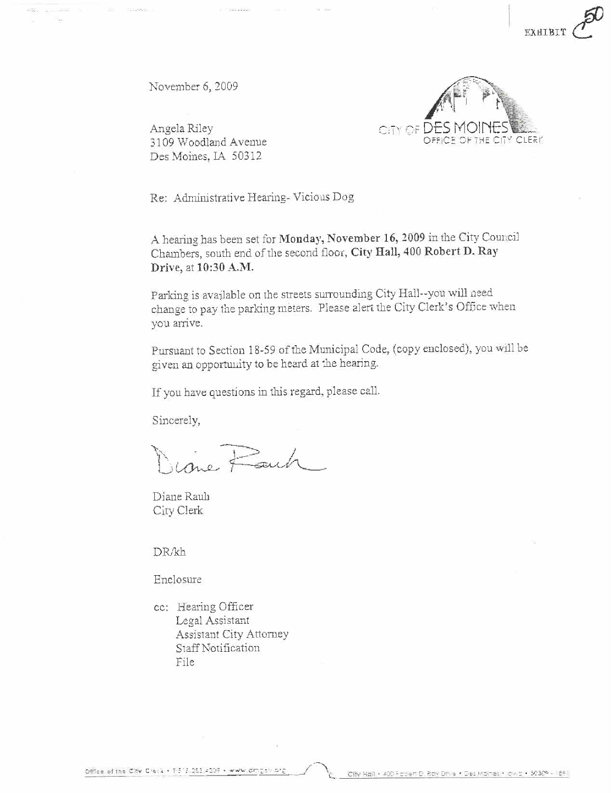November 6, 2009

**CONVERT** 



**EXHIB** 

Angela Riley 3109 Woodland Avenue Des Moines, IA 50312

Re: Administrative Hearing-Vicious Dog

A hearing has been set for Monday, November 16, 2009 in the City Council Chambers, south end of the second floor, City Hall, 400 Robert D. Ray Drive, at 10:30 A.M.

Parking is available on the streets surrounding City Hall--you will need change to pay the parking meters. Please alert the City Clerk's Office when vou arrive.

Pursuant to Section 18-59 of the Municipal Code, (copy enclosed), you will be given an opportunity to be heard at the hearing.

If you have questions in this regard, please call.

Sincerely,

ime Fait

Diane Rauh City Clerk

DR/kh

Enclosure

cc: Hearing Officer Legal Assistant Assistant City Attorney Staff Notification File